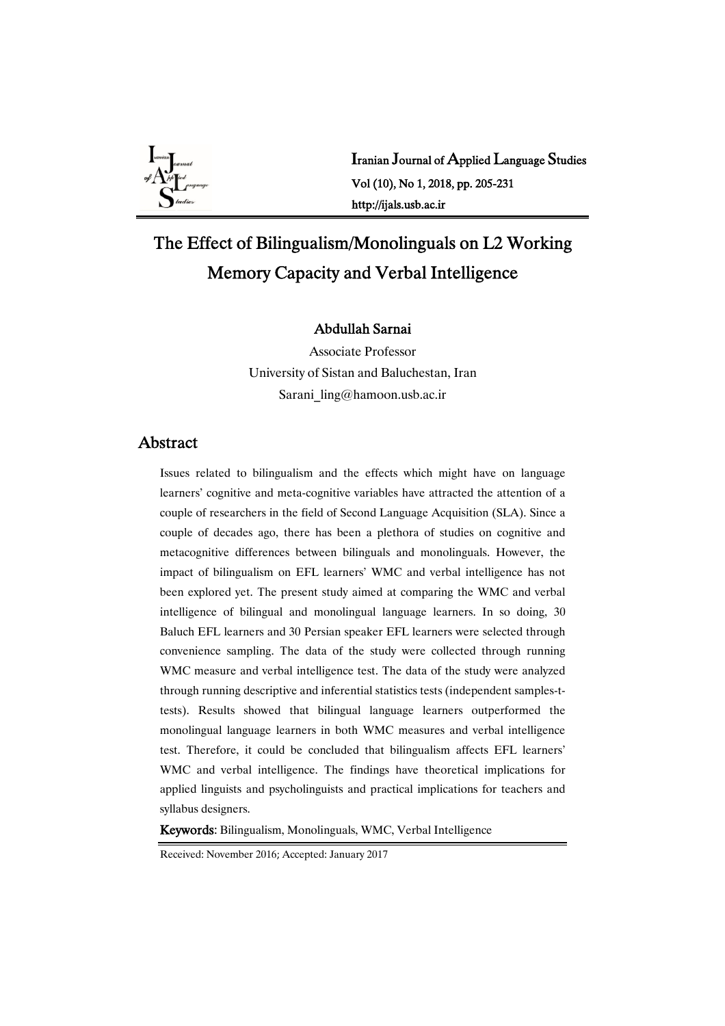

Iranian Journal of Applied Language Studies Vol(10),No1,2018,pp.205-231 http://ijals.usb.ac.ir

# The Effect of Bilingualism/Monolinguals on L2 Working Memory Capacity and Verbal Intelligence

## AbdullahSarnai

Associate Professor University of Sistan and Baluchestan, Iran Sarani\_ling@hamoon.usb.ac.ir

## Abstract

Issues related to bilingualism and the effects which might have on language learners' cognitive and meta-cognitive variables have attracted the attention of a couple of researchers in the field of Second Language Acquisition (SLA). Since a couple of decades ago, there has been a plethora of studies on cognitive and metacognitive differences between bilinguals and monolinguals. However, the impact of bilingualism on EFL learners' WMC and verbal intelligence has not been explored yet. The present study aimed at comparing the WMC and verbal intelligence of bilingual and monolingual language learners. In so doing, 30 Baluch EFL learners and 30 Persian speaker EFL learners were selected through convenience sampling. The data of the study were collected through running WMC measure and verbal intelligence test. The data of the study were analyzed through running descriptive and inferential statistics tests (independent samples-ttests). Results showed that bilingual language learners outperformed the monolingual language learners in both WMC measures and verbal intelligence test. Therefore, it could be concluded that bilingualism affects EFL learners' WMC and verbal intelligence. The findings have theoretical implications for applied linguists and psycholinguists and practical implications for teachers and syllabus designers.

Keywords: Bilingualism, Monolinguals, WMC, Verbal Intelligence

Received: November 2016; Accepted: January 2017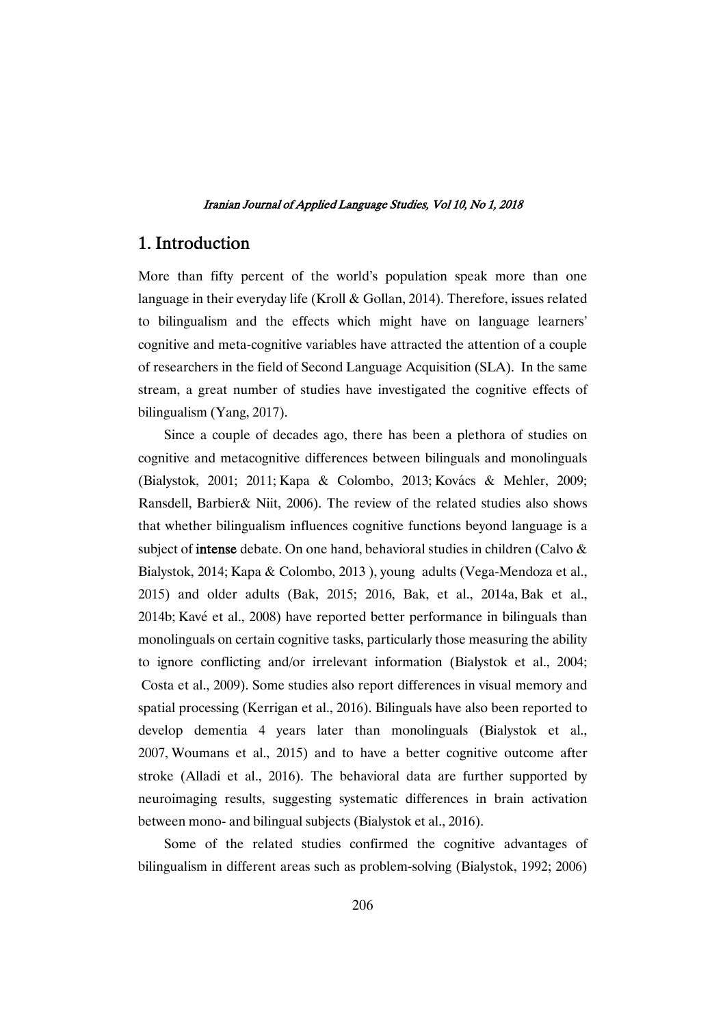## 1. Introduction

More than fifty percent of the world's population speak more than one language in their everyday life (Kroll & Gollan, 2014). Therefore, issues related to bilingualism and the effects which might have on language learners' cognitive and meta-cognitive variables have attracted the attention of a couple of researchers in the field of Second Language Acquisition (SLA). In the same stream, a great number of studies have investigated the cognitive effects of bilingualism (Yang, 2017).

Since a couple of decades ago, there has been a plethora of studies on cognitive and metacognitive differences between bilinguals and monolinguals (Bialystok, 2001; 2011; Kapa & Colombo, 2013; Kovács & Mehler, 2009; Ransdell, Barbier& Niit, 2006). The review of the related studies also shows that whether bilingualism influences cognitive functions beyond language is a subject of intense debate. On one hand, behavioral studies in children (Calvo & Bialystok, 2014; Kapa & Colombo, 2013 ), young adults (Vega-Mendoza et al., 2015) and older adults (Bak, 2015; 2016, Bak, et al., 2014a, Bak et al., 2014b; Kavé et al., 2008) have reported better performance in bilinguals than monolinguals on certain cognitive tasks, particularly those measuring the ability to ignore conflicting and/or irrelevant information (Bialystok et al., 2004; Costa et al., 2009). Some studies also report differences in visual memory and spatial processing (Kerrigan et al., 2016). Bilinguals have also been reported to develop dementia 4 years later than monolinguals (Bialystok et al., 2007, Woumans et al., 2015) and to have a better cognitive outcome after stroke (Alladi et al., 2016). The behavioral data are further supported by neuroimaging results, suggesting systematic differences in brain activation between mono- and bilingual subjects (Bialystok et al., 2016).

Some of the related studies confirmed the cognitive advantages of bilingualism in different areas such as problem-solving (Bialystok, 1992; 2006)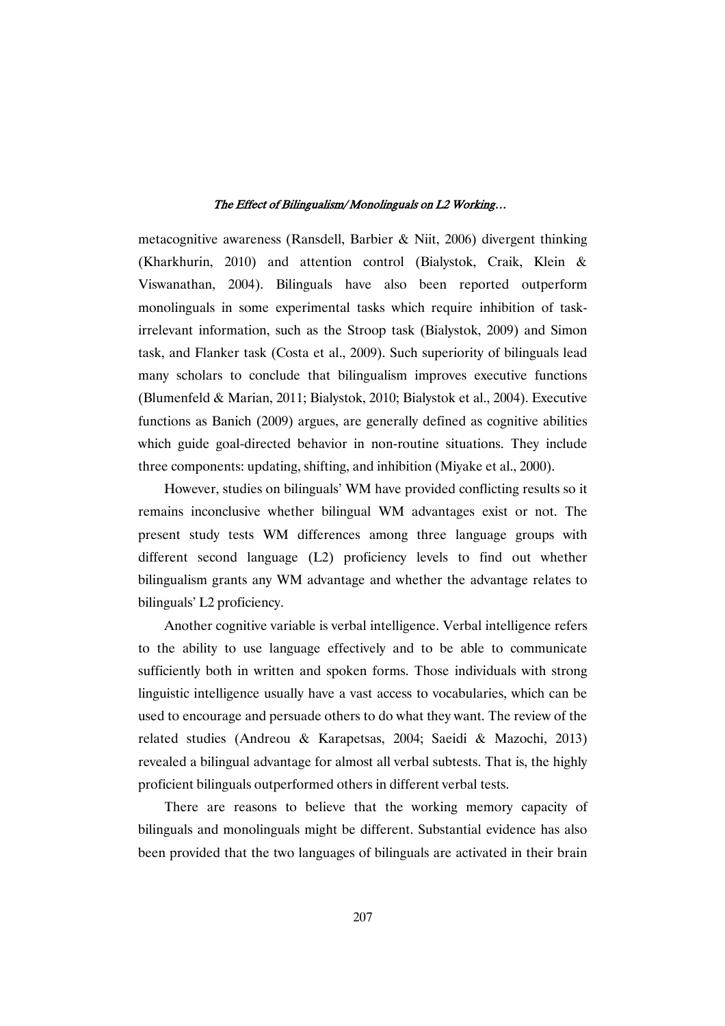metacognitive awareness (Ransdell, Barbier & Niit, 2006) divergent thinking (Kharkhurin, 2010) and attention control (Bialystok, Craik, Klein & Viswanathan, 2004). Bilinguals have also been reported outperform monolinguals in some experimental tasks which require inhibition of taskirrelevant information, such as the Stroop task (Bialystok, 2009) and Simon task, and Flanker task (Costa et al., 2009). Such superiority of bilinguals lead many scholars to conclude that bilingualism improves executive functions (Blumenfeld & Marian, 2011; Bialystok, 2010; Bialystok et al., 2004). Executive functions as Banich (2009) argues, are generally defined as cognitive abilities which guide goal-directed behavior in non-routine situations. They include three components: updating, shifting, and inhibition (Miyake et al., 2000).

However, studies on bilinguals' WM have provided conflicting results so it remains inconclusive whether bilingual WM advantages exist or not. The present study tests WM differences among three language groups with different second language (L2) proficiency levels to find out whether bilingualism grants any WM advantage and whether the advantage relates to bilinguals' L2 proficiency.

Another cognitive variable is verbal intelligence. Verbal intelligence refers to the ability to use language effectively and to be able to communicate sufficiently both in written and spoken forms. Those individuals with strong linguistic intelligence usually have a vast access to vocabularies, which can be used to encourage and persuade others to do what they want. The review of the related studies (Andreou & Karapetsas, 2004; Saeidi & Mazochi, 2013) revealed a bilingual advantage for almost all verbal subtests. That is, the highly proficient bilinguals outperformed others in different verbal tests.

There are reasons to believe that the working memory capacity of bilinguals and monolinguals might be different. Substantial evidence has also been provided that the two languages of bilinguals are activated in their brain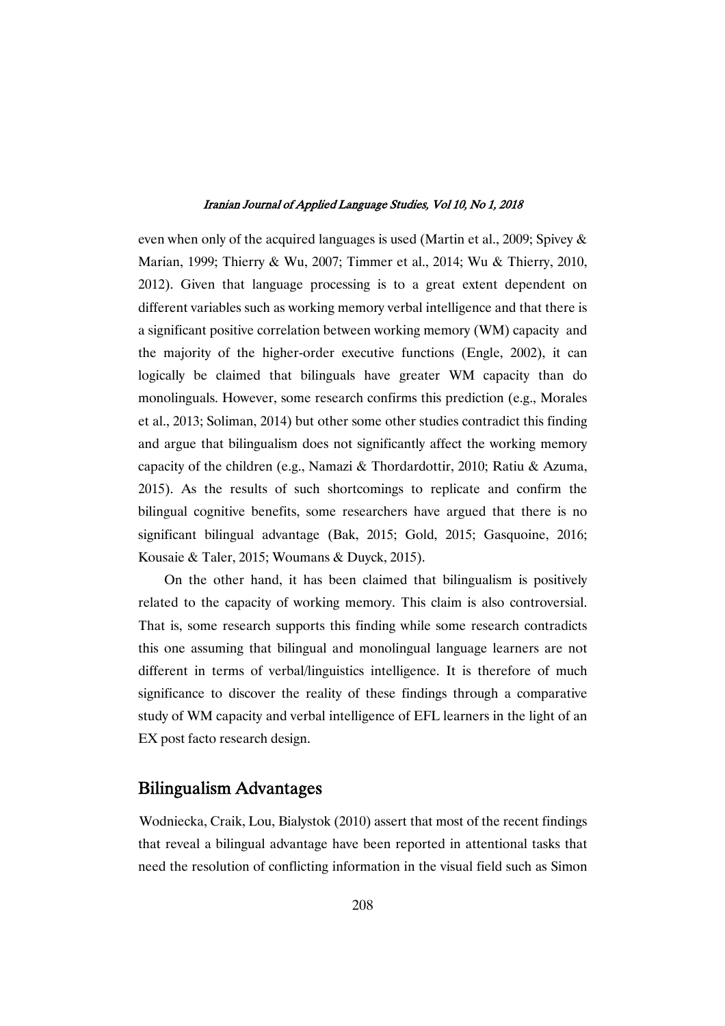even when only of the acquired languages is used (Martin et al., 2009; Spivey & Marian, 1999; Thierry & Wu, 2007; Timmer et al., 2014; Wu & Thierry, 2010, 2012). Given that language processing is to a great extent dependent on different variables such as working memory verbal intelligence and that there is a significant positive correlation between working memory (WM) capacity and the majority of the higher-order executive functions (Engle, 2002), it can logically be claimed that bilinguals have greater WM capacity than do monolinguals. However, some research confirms this prediction (e.g., Morales et al., 2013; Soliman, 2014) but other some other studies contradict this finding and argue that bilingualism does not significantly affect the working memory capacity of the children (e.g., Namazi & Thordardottir, 2010; Ratiu & Azuma, 2015). As the results of such shortcomings to replicate and confirm the bilingual cognitive benefits, some researchers have argued that there is no significant bilingual advantage (Bak, 2015; Gold, 2015; Gasquoine, 2016; Kousaie & Taler, 2015; Woumans & Duyck, 2015).

On the other hand, it has been claimed that bilingualism is positively related to the capacity of working memory. This claim is also controversial. That is, some research supports this finding while some research contradicts this one assuming that bilingual and monolingual language learners are not different in terms of verbal/linguistics intelligence. It is therefore of much significance to discover the reality of these findings through a comparative study of WM capacity and verbal intelligence of EFL learners in the light of an EX post facto research design.

## BilingualismAdvantages

Wodniecka, Craik, Lou, Bialystok (2010) assert that most of the recent findings that reveal a bilingual advantage have been reported in attentional tasks that need the resolution of conflicting information in the visual field such as Simon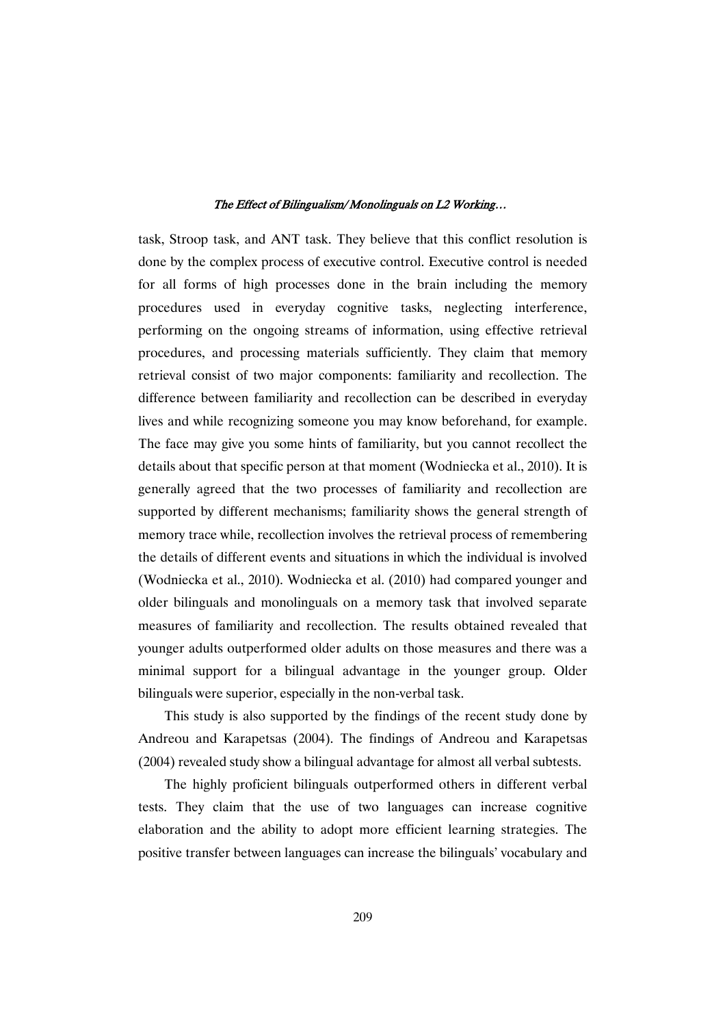task, Stroop task, and ANT task. They believe that this conflict resolution is done by the complex process of executive control. Executive control is needed for all forms of high processes done in the brain including the memory procedures used in everyday cognitive tasks, neglecting interference, performing on the ongoing streams of information, using effective retrieval procedures, and processing materials sufficiently. They claim that memory retrieval consist of two major components: familiarity and recollection. The difference between familiarity and recollection can be described in everyday lives and while recognizing someone you may know beforehand, for example. The face may give you some hints of familiarity, but you cannot recollect the details about that specific person at that moment (Wodniecka et al., 2010). It is generally agreed that the two processes of familiarity and recollection are supported by different mechanisms; familiarity shows the general strength of memory trace while, recollection involves the retrieval process of remembering the details of different events and situations in which the individual is involved (Wodniecka et al., 2010). Wodniecka et al. (2010) had compared younger and older bilinguals and monolinguals on a memory task that involved separate measures of familiarity and recollection. The results obtained revealed that younger adults outperformed older adults on those measures and there was a minimal support for a bilingual advantage in the younger group. Older bilinguals were superior, especially in the non-verbal task.

This study is also supported by the findings of the recent study done by Andreou and Karapetsas (2004). The findings of Andreou and Karapetsas (2004) revealed study show a bilingual advantage for almost all verbal subtests.

The highly proficient bilinguals outperformed others in different verbal tests. They claim that the use of two languages can increase cognitive elaboration and the ability to adopt more efficient learning strategies. The positive transfer between languages can increase the bilinguals' vocabulary and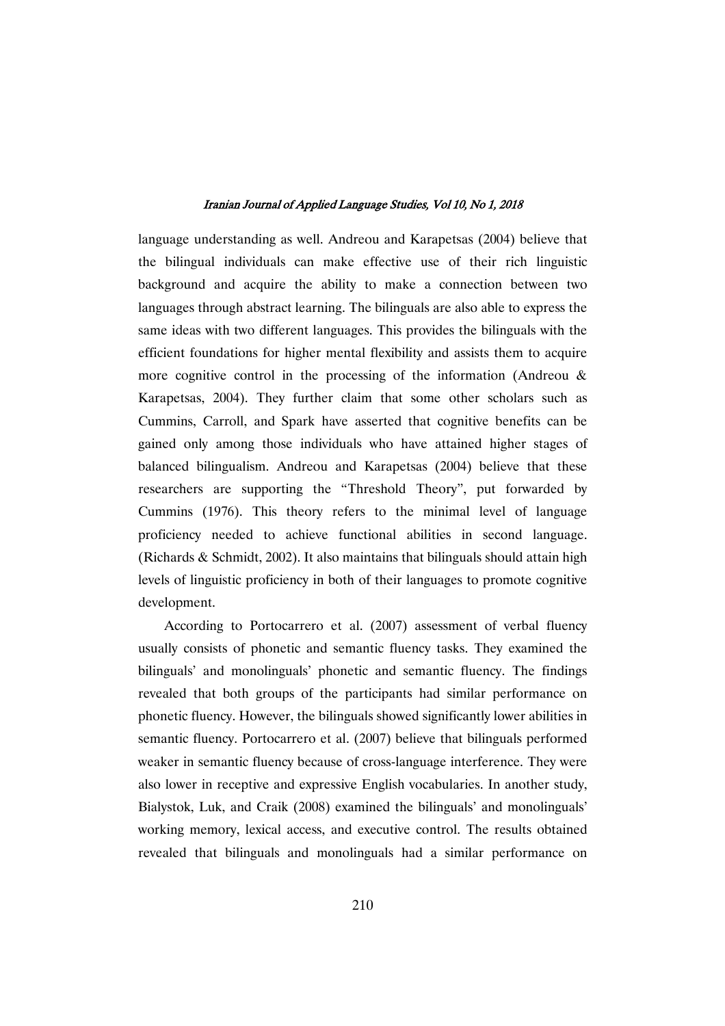language understanding as well. Andreou and Karapetsas (2004) believe that the bilingual individuals can make effective use of their rich linguistic background and acquire the ability to make a connection between two languages through abstract learning. The bilinguals are also able to express the same ideas with two different languages. This provides the bilinguals with the efficient foundations for higher mental flexibility and assists them to acquire more cognitive control in the processing of the information (Andreou & Karapetsas, 2004). They further claim that some other scholars such as Cummins, Carroll, and Spark have asserted that cognitive benefits can be gained only among those individuals who have attained higher stages of balanced bilingualism. Andreou and Karapetsas (2004) believe that these researchers are supporting the "Threshold Theory", put forwarded by Cummins (1976). This theory refers to the minimal level of language proficiency needed to achieve functional abilities in second language. (Richards & Schmidt, 2002). It also maintains that bilinguals should attain high levels of linguistic proficiency in both of their languages to promote cognitive development.

According to Portocarrero et al. (2007) assessment of verbal fluency usually consists of phonetic and semantic fluency tasks. They examined the bilinguals' and monolinguals' phonetic and semantic fluency. The findings revealed that both groups of the participants had similar performance on phonetic fluency. However, the bilinguals showed significantly lower abilities in semantic fluency. Portocarrero et al. (2007) believe that bilinguals performed weaker in semantic fluency because of cross-language interference. They were also lower in receptive and expressive English vocabularies. In another study, Bialystok, Luk, and Craik (2008) examined the bilinguals' and monolinguals' working memory, lexical access, and executive control. The results obtained revealed that bilinguals and monolinguals had a similar performance on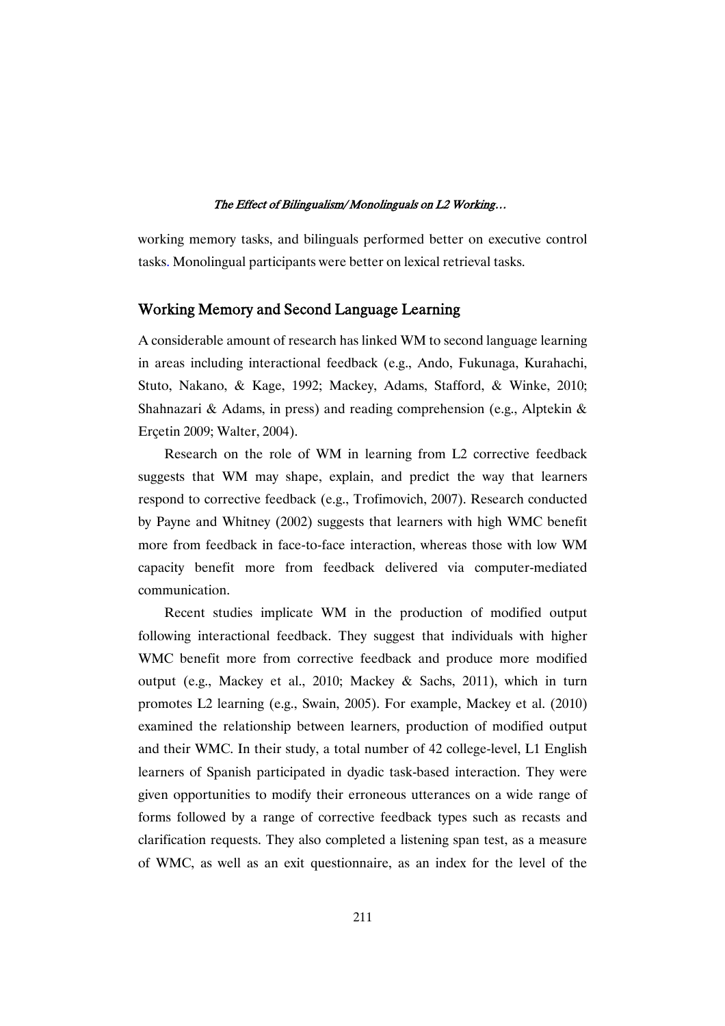working memory tasks, and bilinguals performed better on executive control tasks. Monolingual participants were better on lexical retrieval tasks.

## Working Memory and Second Language Learning

A considerable amount of research has linked WM to second language learning in areas including interactional feedback (e.g., Ando, Fukunaga, Kurahachi, Stuto, Nakano, & Kage, 1992; Mackey, Adams, Stafford, & Winke, 2010; Shahnazari & Adams, in press) and reading comprehension (e.g., Alptekin & Erçetin 2009; Walter, 2004).

Research on the role of WM in learning from L2 corrective feedback suggests that WM may shape, explain, and predict the way that learners respond to corrective feedback (e.g., Trofimovich, 2007). Research conducted by Payne and Whitney (2002) suggests that learners with high WMC benefit more from feedback in face-to-face interaction, whereas those with low WM capacity benefit more from feedback delivered via computer-mediated communication.

Recent studies implicate WM in the production of modified output following interactional feedback. They suggest that individuals with higher WMC benefit more from corrective feedback and produce more modified output (e.g., Mackey et al., 2010; Mackey & Sachs, 2011), which in turn promotes L2 learning (e.g., Swain, 2005). For example, Mackey et al. (2010) examined the relationship between learners, production of modified output and their WMC. In their study, a total number of 42 college-level, L1 English learners of Spanish participated in dyadic task-based interaction. They were given opportunities to modify their erroneous utterances on a wide range of forms followed by a range of corrective feedback types such as recasts and clarification requests. They also completed a listening span test, as a measure of WMC, as well as an exit questionnaire, as an index for the level of the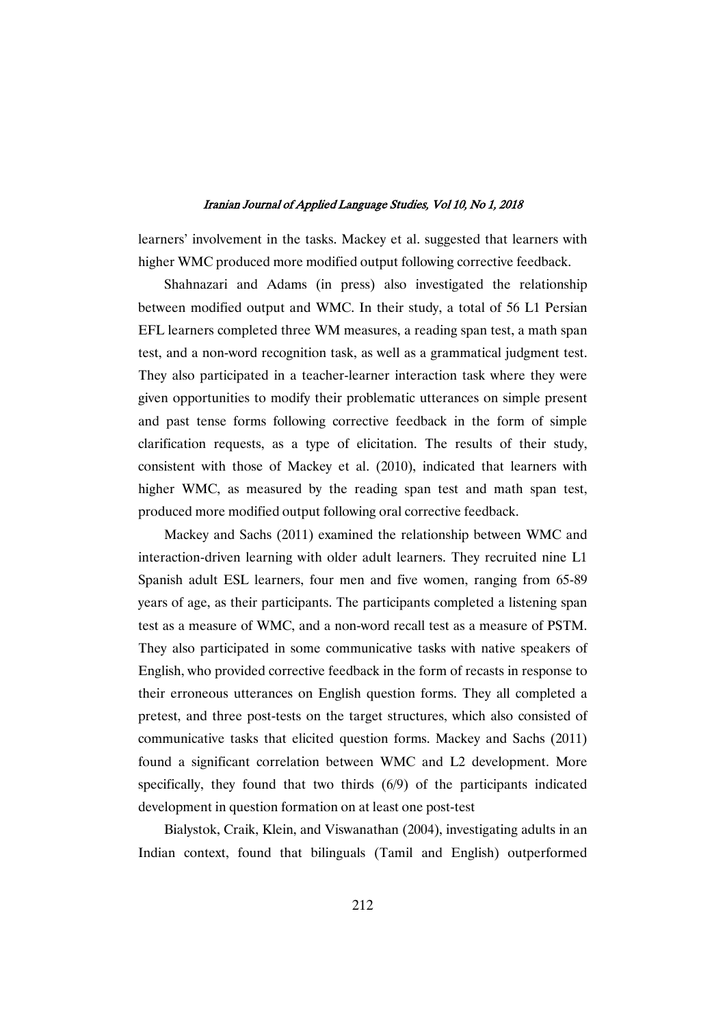learners' involvement in the tasks. Mackey et al. suggested that learners with higher WMC produced more modified output following corrective feedback.

Shahnazari and Adams (in press) also investigated the relationship between modified output and WMC. In their study, a total of 56 L1 Persian EFL learners completed three WM measures, a reading span test, a math span test, and a non-word recognition task, as well as a grammatical judgment test. They also participated in a teacher-learner interaction task where they were given opportunities to modify their problematic utterances on simple present and past tense forms following corrective feedback in the form of simple clarification requests, as a type of elicitation. The results of their study, consistent with those of Mackey et al. (2010), indicated that learners with higher WMC, as measured by the reading span test and math span test, produced more modified output following oral corrective feedback.

Mackey and Sachs (2011) examined the relationship between WMC and interaction-driven learning with older adult learners. They recruited nine L1 Spanish adult ESL learners, four men and five women, ranging from 65-89 years of age, as their participants. The participants completed a listening span test as a measure of WMC, and a non-word recall test as a measure of PSTM. They also participated in some communicative tasks with native speakers of English, who provided corrective feedback in the form of recasts in response to their erroneous utterances on English question forms. They all completed a pretest, and three post-tests on the target structures, which also consisted of communicative tasks that elicited question forms. Mackey and Sachs (2011) found a significant correlation between WMC and L2 development. More specifically, they found that two thirds (6/9) of the participants indicated development in question formation on at least one post-test

Bialystok, Craik, Klein, and Viswanathan (2004), investigating adults in an Indian context, found that bilinguals (Tamil and English) outperformed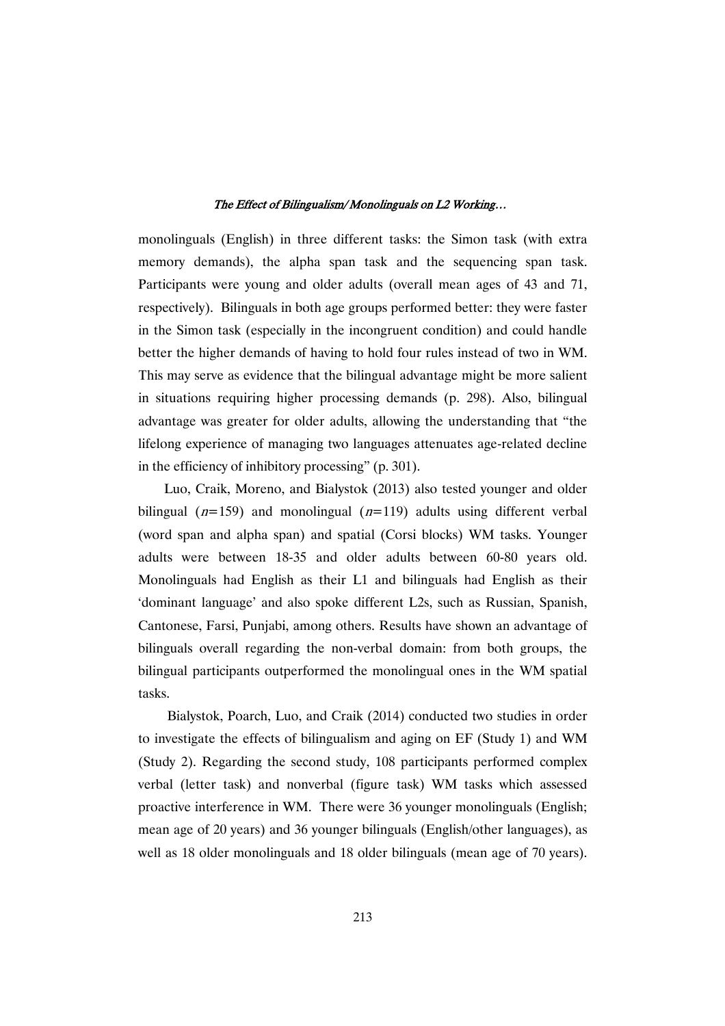monolinguals (English) in three different tasks: the Simon task (with extra memory demands), the alpha span task and the sequencing span task. Participants were young and older adults (overall mean ages of 43 and 71, respectively). Bilinguals in both age groups performed better: they were faster in the Simon task (especially in the incongruent condition) and could handle better the higher demands of having to hold four rules instead of two in WM. This may serve as evidence that the bilingual advantage might be more salient in situations requiring higher processing demands (p. 298). Also, bilingual advantage was greater for older adults, allowing the understanding that "the lifelong experience of managing two languages attenuates age-related decline in the efficiency of inhibitory processing" (p. 301).

Luo, Craik, Moreno, and Bialystok (2013) also tested younger and older bilingual ( $n=159$ ) and monolingual ( $n=119$ ) adults using different verbal (word span and alpha span) and spatial (Corsi blocks) WM tasks. Younger adults were between 18-35 and older adults between 60-80 years old. Monolinguals had English as their L1 and bilinguals had English as their 'dominant language' and also spoke different L2s, such as Russian, Spanish, Cantonese, Farsi, Punjabi, among others. Results have shown an advantage of bilinguals overall regarding the non-verbal domain: from both groups, the bilingual participants outperformed the monolingual ones in the WM spatial tasks.

Bialystok, Poarch, Luo, and Craik (2014) conducted two studies in order to investigate the effects of bilingualism and aging on EF (Study 1) and WM (Study 2). Regarding the second study, 108 participants performed complex verbal (letter task) and nonverbal (figure task) WM tasks which assessed proactive interference in WM. There were 36 younger monolinguals (English; mean age of 20 years) and 36 younger bilinguals (English/other languages), as well as 18 older monolinguals and 18 older bilinguals (mean age of 70 years).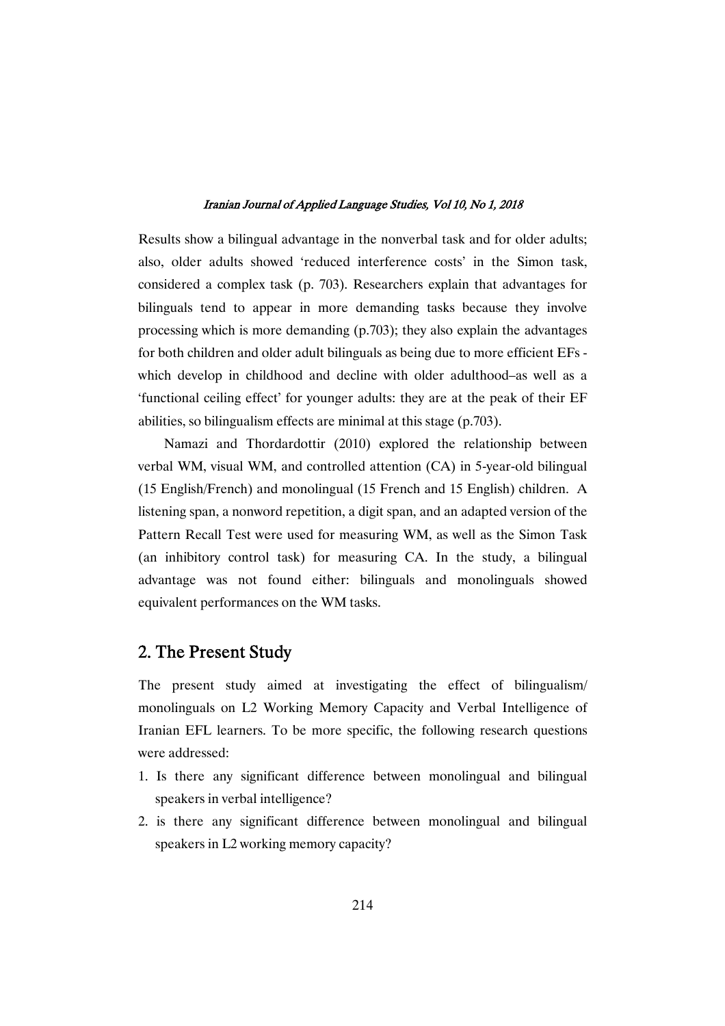Results show a bilingual advantage in the nonverbal task and for older adults; also, older adults showed 'reduced interference costs' in the Simon task, considered a complex task (p. 703). Researchers explain that advantages for bilinguals tend to appear in more demanding tasks because they involve processing which is more demanding (p.703); they also explain the advantages for both children and older adult bilinguals as being due to more efficient EFs which develop in childhood and decline with older adulthood–as well as a 'functional ceiling effect' for younger adults: they are at the peak of their EF abilities, so bilingualism effects are minimal at this stage (p.703).

Namazi and Thordardottir (2010) explored the relationship between verbal WM, visual WM, and controlled attention (CA) in 5-year-old bilingual (15 English/French) and monolingual (15 French and 15 English) children. A listening span, a nonword repetition, a digit span, and an adapted version of the Pattern Recall Test were used for measuring WM, as well as the Simon Task (an inhibitory control task) for measuring CA. In the study, a bilingual advantage was not found either: bilinguals and monolinguals showed equivalent performances on the WM tasks.

## 2. The Present Study

The present study aimed at investigating the effect of bilingualism/ monolinguals on L2 Working Memory Capacity and Verbal Intelligence of Iranian EFL learners. To be more specific, the following research questions were addressed:

- 1. Is there any significant difference between monolingual and bilingual speakers in verbal intelligence?
- 2. is there any significant difference between monolingual and bilingual speakers in L2 working memory capacity?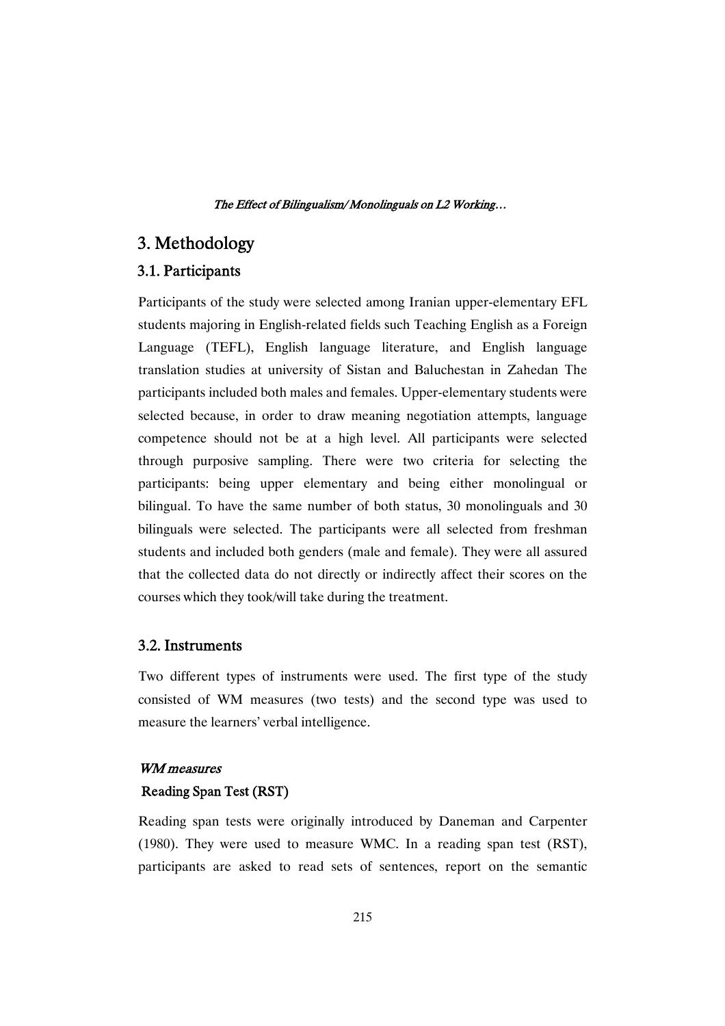## 3.Methodology

## 3.1.Participants

Participants of the study were selected among Iranian upper-elementary EFL students majoring in English-related fields such Teaching English as a Foreign Language (TEFL), English language literature, and English language translation studies at university of Sistan and Baluchestan in Zahedan The participants included both males and females. Upper-elementary students were selected because, in order to draw meaning negotiation attempts, language competence should not be at a high level. All participants were selected through purposive sampling. There were two criteria for selecting the participants: being upper elementary and being either monolingual or bilingual. To have the same number of both status, 30 monolinguals and 30 bilinguals were selected. The participants were all selected from freshman students and included both genders (male and female). They were all assured that the collected data do not directly or indirectly affect their scores on the courses which they took/will take during the treatment.

## 3.2.Instruments

Two different types of instruments were used. The first type of the study consisted of WM measures (two tests) and the second type was used to measure the learners' verbal intelligence.

## WM measures

## Reading Span Test (RST)

Reading span tests were originally introduced by Daneman and Carpenter (1980). They were used to measure WMC. In a reading span test (RST), participants are asked to read sets of sentences, report on the semantic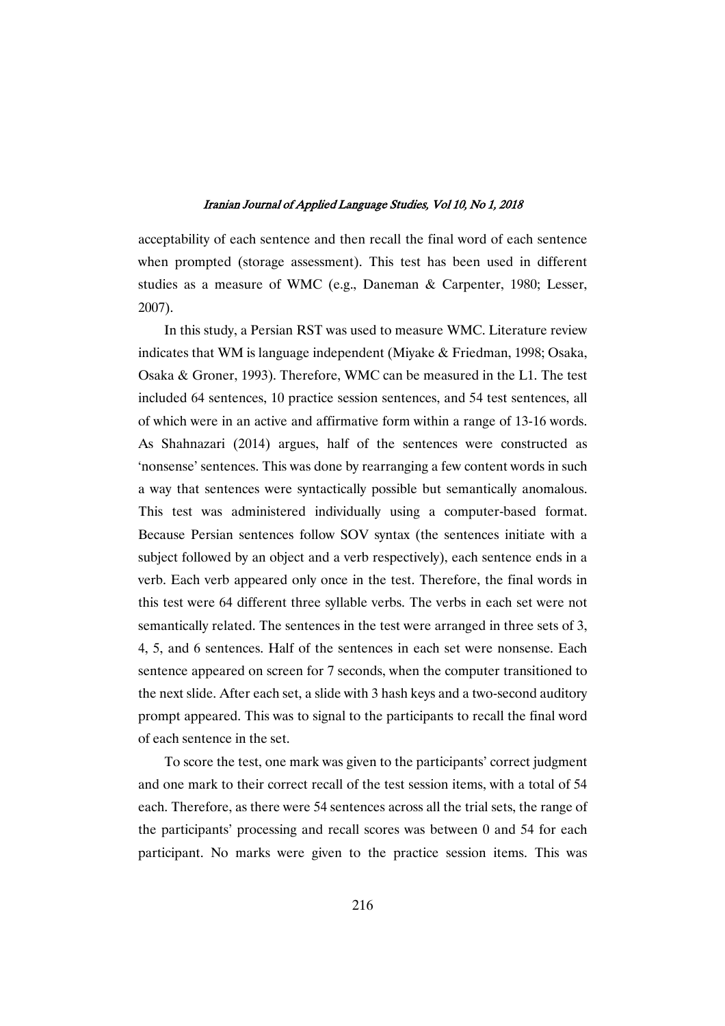acceptability of each sentence and then recall the final word of each sentence when prompted (storage assessment). This test has been used in different studies as a measure of WMC (e.g., Daneman & Carpenter, 1980; Lesser, 2007).

In this study, a Persian RST was used to measure WMC. Literature review indicates that WM is language independent (Miyake & Friedman, 1998; Osaka, Osaka & Groner, 1993). Therefore, WMC can be measured in the L1. The test included 64 sentences, 10 practice session sentences, and 54 test sentences, all of which were in an active and affirmative form within a range of 13-16 words. As Shahnazari (2014) argues, half of the sentences were constructed as 'nonsense' sentences. This was done by rearranging a few content words in such a way that sentences were syntactically possible but semantically anomalous. This test was administered individually using a computer-based format. Because Persian sentences follow SOV syntax (the sentences initiate with a subject followed by an object and a verb respectively), each sentence ends in a verb. Each verb appeared only once in the test. Therefore, the final words in this test were 64 different three syllable verbs. The verbs in each set were not semantically related. The sentences in the test were arranged in three sets of 3, 4, 5, and 6 sentences. Half of the sentences in each set were nonsense. Each sentence appeared on screen for 7 seconds, when the computer transitioned to the next slide. After each set, a slide with 3 hash keys and a two-second auditory prompt appeared. This was to signal to the participants to recall the final word of each sentence in the set.

To score the test, one mark was given to the participants' correct judgment and one mark to their correct recall of the test session items, with a total of 54 each. Therefore, as there were 54 sentences across all the trial sets, the range of the participants' processing and recall scores was between 0 and 54 for each participant. No marks were given to the practice session items. This was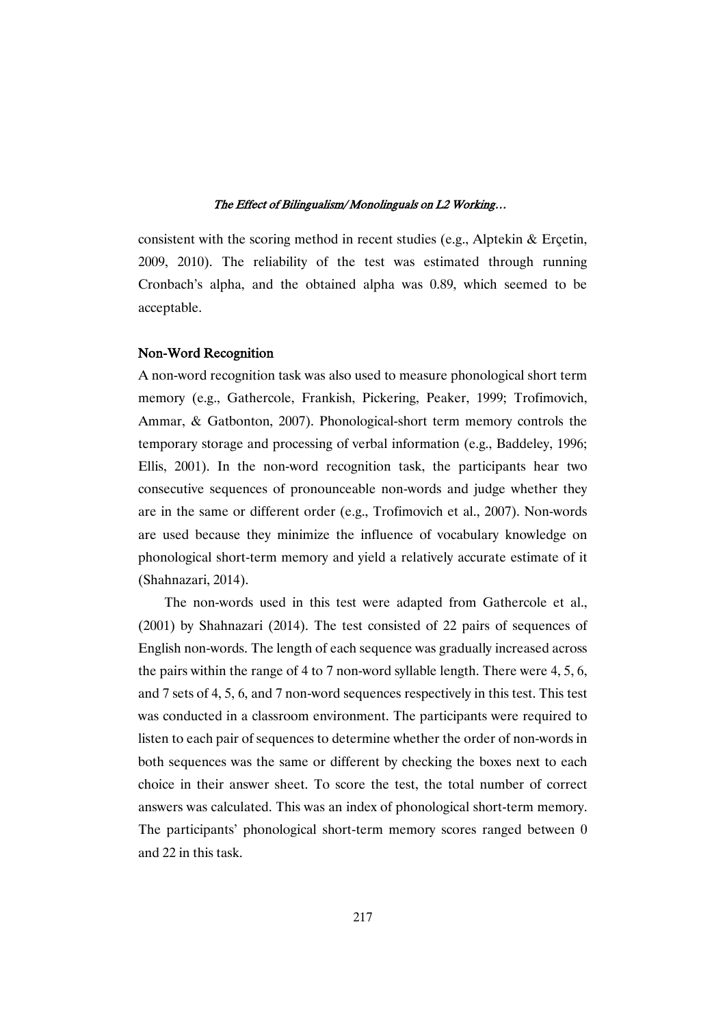consistent with the scoring method in recent studies (e.g., Alptekin & Erçetin, 2009, 2010). The reliability of the test was estimated through running Cronbach's alpha, and the obtained alpha was 0.89, which seemed to be acceptable.

## Non-Word Recognition

A non-word recognition task was also used to measure phonological short term memory (e.g., Gathercole, Frankish, Pickering, Peaker, 1999; Trofimovich, Ammar, & Gatbonton, 2007). Phonological-short term memory controls the temporary storage and processing of verbal information (e.g., Baddeley, 1996; Ellis, 2001). In the non-word recognition task, the participants hear two consecutive sequences of pronounceable non-words and judge whether they are in the same or different order (e.g., Trofimovich et al., 2007). Non-words are used because they minimize the influence of vocabulary knowledge on phonological short-term memory and yield a relatively accurate estimate of it (Shahnazari, 2014).

The non-words used in this test were adapted from Gathercole et al., (2001) by Shahnazari (2014). The test consisted of 22 pairs of sequences of English non-words. The length of each sequence was gradually increased across the pairs within the range of 4 to 7 non-word syllable length. There were 4, 5, 6, and 7 sets of 4, 5, 6, and 7 non-word sequences respectively in this test. This test was conducted in a classroom environment. The participants were required to listen to each pair of sequences to determine whether the order of non-words in both sequences was the same or different by checking the boxes next to each choice in their answer sheet. To score the test, the total number of correct answers was calculated. This was an index of phonological short-term memory. The participants' phonological short-term memory scores ranged between 0 and 22 in this task.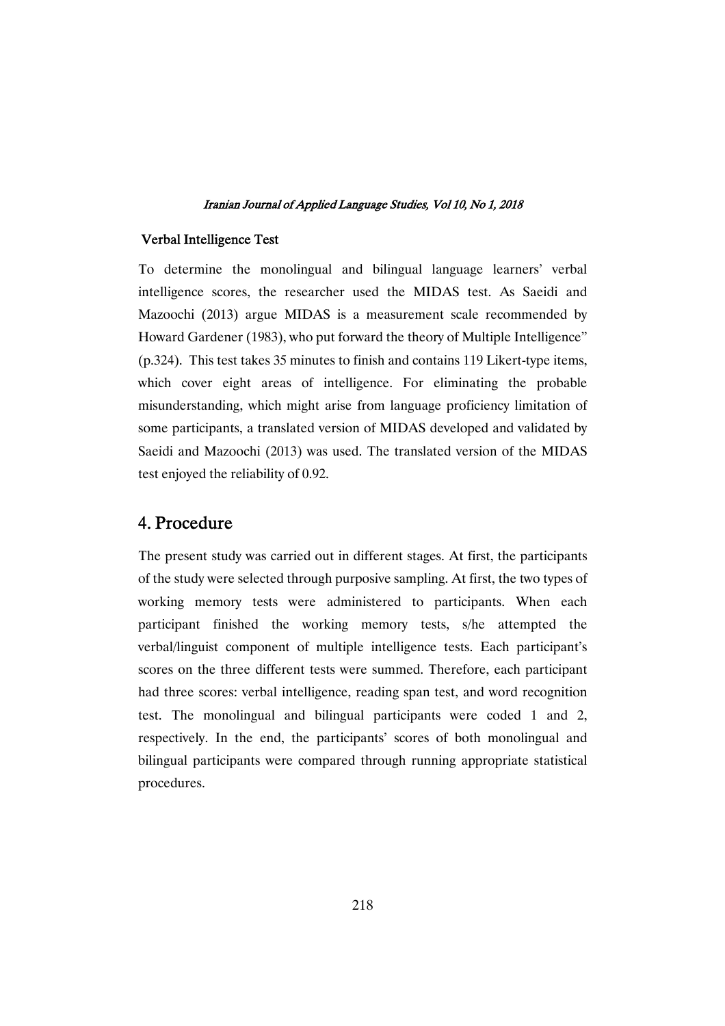## Verbal Intelligence Test

To determine the monolingual and bilingual language learners' verbal intelligence scores, the researcher used the MIDAS test. As Saeidi and Mazoochi (2013) argue MIDAS is a measurement scale recommended by Howard Gardener (1983), who put forward the theory of Multiple Intelligence" (p.324). This test takes 35 minutes to finish and contains 119 Likert-type items, which cover eight areas of intelligence. For eliminating the probable misunderstanding, which might arise from language proficiency limitation of some participants, a translated version of MIDAS developed and validated by Saeidi and Mazoochi (2013) was used. The translated version of the MIDAS test enjoyed the reliability of 0.92.

## 4.Procedure

The present study was carried out in different stages. At first, the participants of the study were selected through purposive sampling. At first, the two types of working memory tests were administered to participants. When each participant finished the working memory tests, s/he attempted the verbal/linguist component of multiple intelligence tests. Each participant's scores on the three different tests were summed. Therefore, each participant had three scores: verbal intelligence, reading span test, and word recognition test. The monolingual and bilingual participants were coded 1 and 2, respectively. In the end, the participants' scores of both monolingual and bilingual participants were compared through running appropriate statistical procedures.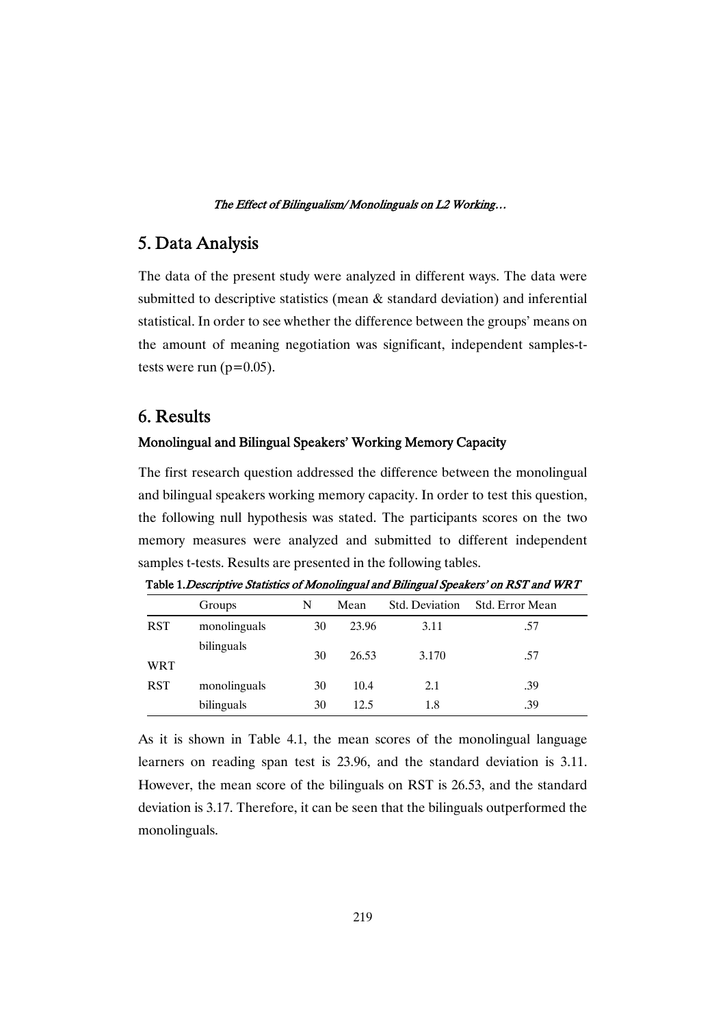## 5.DataAnalysis

The data of the present study were analyzed in different ways. The data were submitted to descriptive statistics (mean & standard deviation) and inferential statistical. In order to see whether the difference between the groups' means on the amount of meaning negotiation was significant, independent samples-ttests were run  $(p=0.05)$ .

## 6.Results

## Monolingual and Bilingual Speakers' Working Memory Capacity

The first research question addressed the difference between the monolingual and bilingual speakers working memory capacity. In order to test this question, the following null hypothesis was stated. The participants scores on the two memory measures were analyzed and submitted to different independent samples t-tests. Results are presented in the following tables.

|            | Groups       | N  | Mean  | Std. Deviation | Std. Error Mean |
|------------|--------------|----|-------|----------------|-----------------|
| <b>RST</b> | monolinguals | 30 | 23.96 | 3.11           | .57             |
| <b>WRT</b> | bilinguals   | 30 | 26.53 | 3.170          | .57             |
| <b>RST</b> | monolinguals | 30 | 10.4  | 2.1            | .39             |
|            | bilinguals   | 30 | 12.5  | 1.8            | .39             |

Table 1. Descriptive Statistics of Monolingual and Bilingual Speakers' on RST and WRT

As it is shown in Table 4.1, the mean scores of the monolingual language learners on reading span test is 23.96, and the standard deviation is 3.11. However, the mean score of the bilinguals on RST is 26.53, and the standard deviation is 3.17. Therefore, it can be seen that the bilinguals outperformed the monolinguals.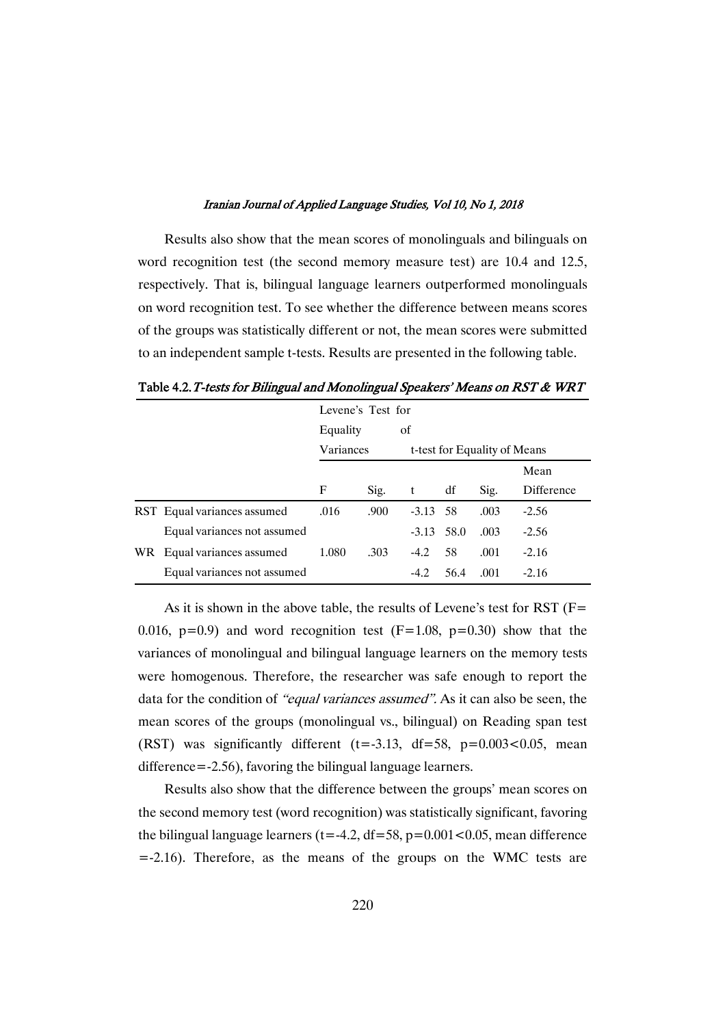Results also show that the mean scores of monolinguals and bilinguals on word recognition test (the second memory measure test) are 10.4 and 12.5, respectively. That is, bilingual language learners outperformed monolinguals on word recognition test. To see whether the difference between means scores of the groups was statistically different or not, the mean scores were submitted to an independent sample t-tests. Results are presented in the following table.

|                             | Levene's Test for<br>of<br>Equality |      |                              |      |      |            |  |
|-----------------------------|-------------------------------------|------|------------------------------|------|------|------------|--|
|                             |                                     |      |                              |      |      |            |  |
|                             | Variances                           |      | t-test for Equality of Means |      |      |            |  |
|                             |                                     |      |                              |      |      | Mean       |  |
|                             | F                                   | Sig. | t                            | df   | Sig. | Difference |  |
| RST Equal variances assumed | .016                                | .900 | $-3.13$ 58                   |      | .003 | $-2.56$    |  |
| Equal variances not assumed |                                     |      | $-3.13$ 58.0                 |      | .003 | $-2.56$    |  |
| WR Equal variances assumed  | 1.080                               | .303 | $-4.2$                       | 58   | .001 | $-2.16$    |  |
| Equal variances not assumed |                                     |      | $-4.2$                       | 56.4 | .001 | $-2.16$    |  |

Table 4.2. T-tests for Bilingual and Monolingual Speakers' Means on RST  $\&$  WRT

As it is shown in the above table, the results of Levene's test for RST (F= 0.016,  $p=0.9$ ) and word recognition test  $(F=1.08, p=0.30)$  show that the variances of monolingual and bilingual language learners on the memory tests were homogenous. Therefore, the researcher was safe enough to report the data for the condition of "equal variances assumed". As it can also be seen, the mean scores of the groups (monolingual vs., bilingual) on Reading span test (RST) was significantly different (t=-3.13, df=58,  $p=0.003<0.05$ , mean difference=-2.56), favoring the bilingual language learners.

Results also show that the difference between the groups' mean scores on the second memory test (word recognition) was statistically significant, favoring the bilingual language learners ( $t = -4.2$ ,  $df = 58$ ,  $p = 0.001 < 0.05$ , mean difference =-2.16). Therefore, as the means of the groups on the WMC tests are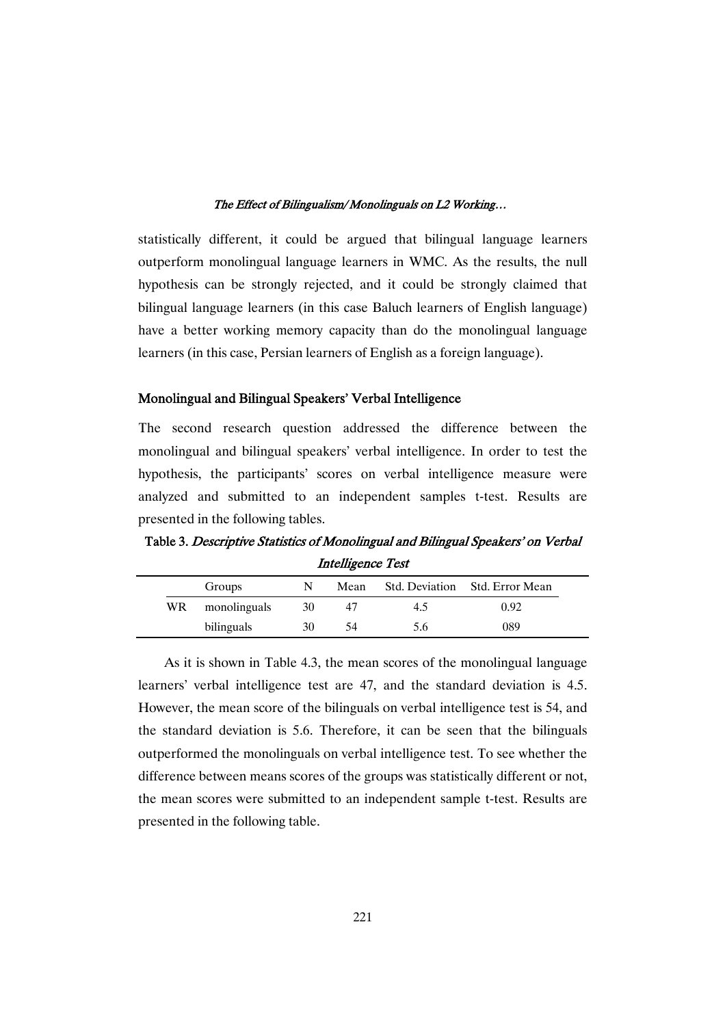statistically different, it could be argued that bilingual language learners outperform monolingual language learners in WMC. As the results, the null hypothesis can be strongly rejected, and it could be strongly claimed that bilingual language learners (in this case Baluch learners of English language) have a better working memory capacity than do the monolingual language learners (in this case, Persian learners of English as a foreign language).

## Monolingual and Bilingual Speakers' Verbal Intelligence

The second research question addressed the difference between the monolingual and bilingual speakers' verbal intelligence. In order to test the hypothesis, the participants' scores on verbal intelligence measure were analyzed and submitted to an independent samples t-test. Results are presented in the following tables.

Table 3. Descriptive Statistics of Monolingual and Bilingual Speakers' on Verbal Intelligence Test

|     | Groups       | N  | Mean |     | Std. Deviation Std. Error Mean |
|-----|--------------|----|------|-----|--------------------------------|
| WR. | monolinguals | 30 | 47   | 4.5 | 0.92                           |
|     | bilinguals   | 30 | 54   | 5.6 | 089                            |

As it is shown in Table 4.3, the mean scores of the monolingual language learners' verbal intelligence test are 47, and the standard deviation is 4.5. However, the mean score of the bilinguals on verbal intelligence test is 54, and the standard deviation is 5.6. Therefore, it can be seen that the bilinguals outperformed the monolinguals on verbal intelligence test. To see whether the difference between means scores of the groups was statistically different or not, the mean scores were submitted to an independent sample t-test. Results are presented in the following table.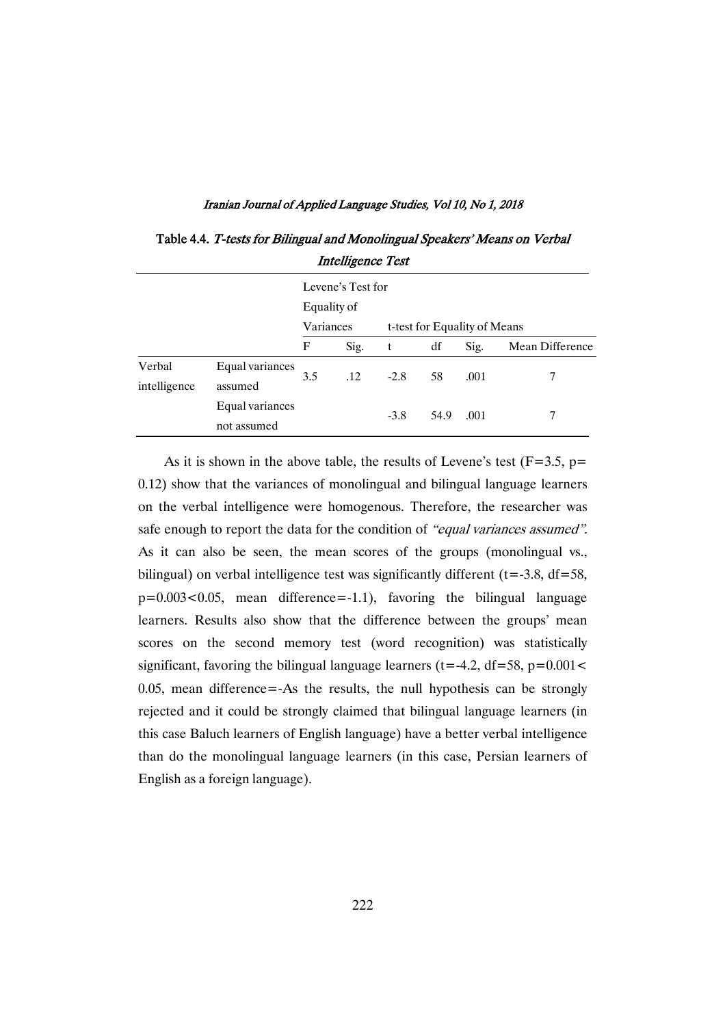|              |                 |             | <i><b>IMIGHTSOMOO I ODI</b></i> |                              |      |      |                 |
|--------------|-----------------|-------------|---------------------------------|------------------------------|------|------|-----------------|
|              |                 |             | Levene's Test for               |                              |      |      |                 |
|              |                 | Equality of |                                 |                              |      |      |                 |
|              |                 | Variances   |                                 | t-test for Equality of Means |      |      |                 |
|              |                 | F           | Sig.                            | t                            | df   | Sig. | Mean Difference |
| Verbal       | Equal variances | 3.5         | .12                             | $-2.8$                       | 58   | .001 |                 |
| intelligence | assumed         |             |                                 |                              |      |      |                 |
|              | Equal variances |             |                                 | $-3.8$                       | 54.9 | .001 |                 |
|              | not assumed     |             |                                 |                              |      |      |                 |

Table 4.4. T-tests for Bilingual and Monolingual Speakers' Means on Verbal **Intelligence Test** 

As it is shown in the above table, the results of Levene's test ( $F=3.5$ ,  $p=$ 0.12) show that the variances of monolingual and bilingual language learners on the verbal intelligence were homogenous. Therefore, the researcher was safe enough to report the data for the condition of "equal variances assumed". As it can also be seen, the mean scores of the groups (monolingual vs., bilingual) on verbal intelligence test was significantly different  $(t=-3.8, df=58,$  $p=0.003<0.05$ , mean difference=-1.1), favoring the bilingual language learners. Results also show that the difference between the groups' mean scores on the second memory test (word recognition) was statistically significant, favoring the bilingual language learners ( $t = -4.2$ ,  $df = 58$ ,  $p = 0.001 <$ 0.05, mean difference=-As the results, the null hypothesis can be strongly rejected and it could be strongly claimed that bilingual language learners (in this case Baluch learners of English language) have a better verbal intelligence than do the monolingual language learners (in this case, Persian learners of English as a foreign language).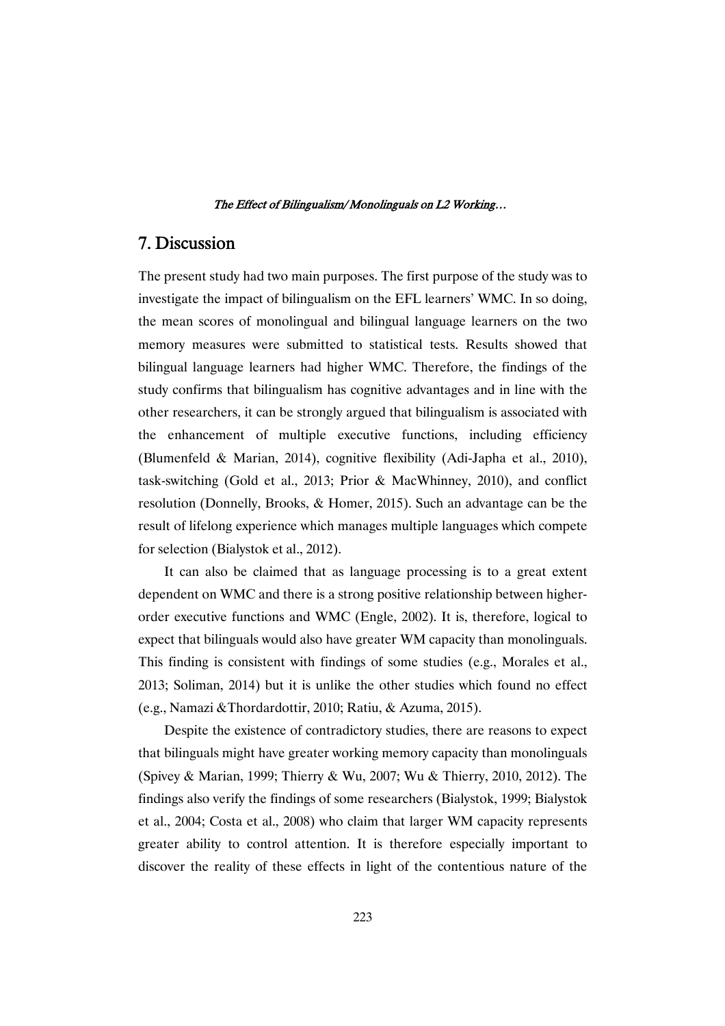## 7.Discussion

The present study had two main purposes. The first purpose of the study was to investigate the impact of bilingualism on the EFL learners' WMC. In so doing, the mean scores of monolingual and bilingual language learners on the two memory measures were submitted to statistical tests. Results showed that bilingual language learners had higher WMC. Therefore, the findings of the study confirms that bilingualism has cognitive advantages and in line with the other researchers, it can be strongly argued that bilingualism is associated with the enhancement of multiple executive functions, including efficiency (Blumenfeld & Marian, 2014), cognitive flexibility (Adi-Japha et al., 2010), task-switching (Gold et al., 2013; Prior & MacWhinney, 2010), and conflict resolution (Donnelly, Brooks, & Homer, 2015). Such an advantage can be the result of lifelong experience which manages multiple languages which compete for selection (Bialystok et al., 2012).

It can also be claimed that as language processing is to a great extent dependent on WMC and there is a strong positive relationship between higherorder executive functions and WMC (Engle, 2002). It is, therefore, logical to expect that bilinguals would also have greater WM capacity than monolinguals. This finding is consistent with findings of some studies (e.g., Morales et al., 2013; Soliman, 2014) but it is unlike the other studies which found no effect (e.g., Namazi &Thordardottir, 2010; Ratiu, & Azuma, 2015).

Despite the existence of contradictory studies, there are reasons to expect that bilinguals might have greater working memory capacity than monolinguals (Spivey & Marian, 1999; Thierry & Wu, 2007; Wu & Thierry, 2010, 2012). The findings also verify the findings of some researchers (Bialystok, 1999; Bialystok et al., 2004; Costa et al., 2008) who claim that larger WM capacity represents greater ability to control attention. It is therefore especially important to discover the reality of these effects in light of the contentious nature of the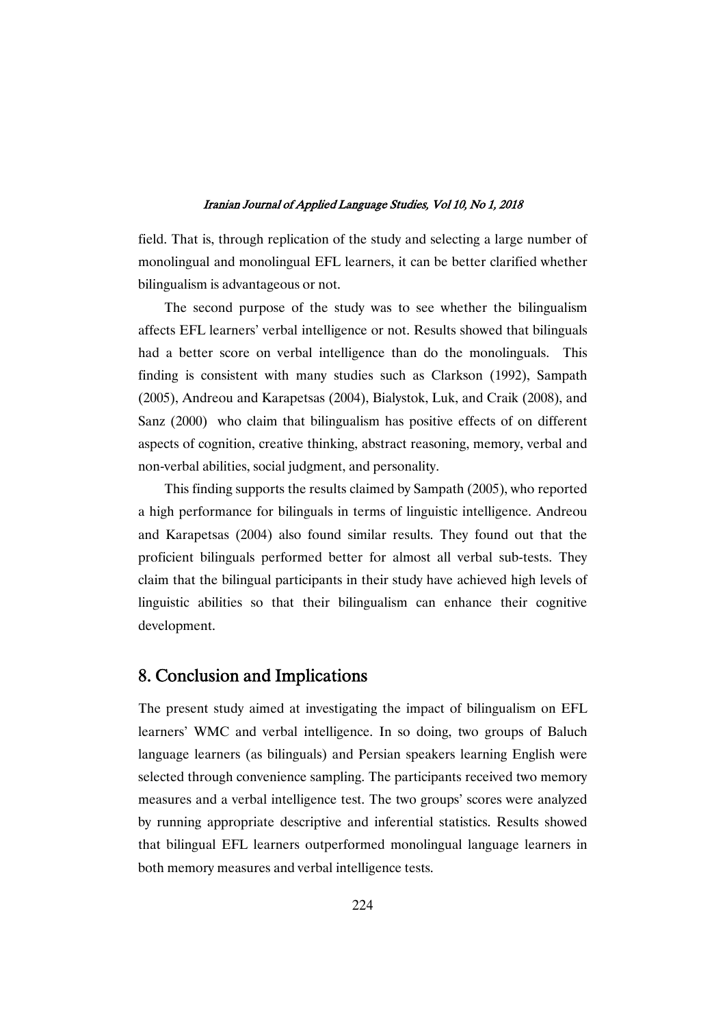field. That is, through replication of the study and selecting a large number of monolingual and monolingual EFL learners, it can be better clarified whether bilingualism is advantageous or not.

The second purpose of the study was to see whether the bilingualism affects EFL learners' verbal intelligence or not. Results showed that bilinguals had a better score on verbal intelligence than do the monolinguals. This finding is consistent with many studies such as Clarkson (1992), Sampath (2005), Andreou and Karapetsas (2004), Bialystok, Luk, and Craik (2008), and Sanz (2000) who claim that bilingualism has positive effects of on different aspects of cognition, creative thinking, abstract reasoning, memory, verbal and non-verbal abilities, social judgment, and personality.

This finding supports the results claimed by Sampath (2005), who reported a high performance for bilinguals in terms of linguistic intelligence. Andreou and Karapetsas (2004) also found similar results. They found out that the proficient bilinguals performed better for almost all verbal sub-tests. They claim that the bilingual participants in their study have achieved high levels of linguistic abilities so that their bilingualism can enhance their cognitive development.

## 8. Conclusion and Implications

The present study aimed at investigating the impact of bilingualism on EFL learners' WMC and verbal intelligence. In so doing, two groups of Baluch language learners (as bilinguals) and Persian speakers learning English were selected through convenience sampling. The participants received two memory measures and a verbal intelligence test. The two groups' scores were analyzed by running appropriate descriptive and inferential statistics. Results showed that bilingual EFL learners outperformed monolingual language learners in both memory measures and verbal intelligence tests.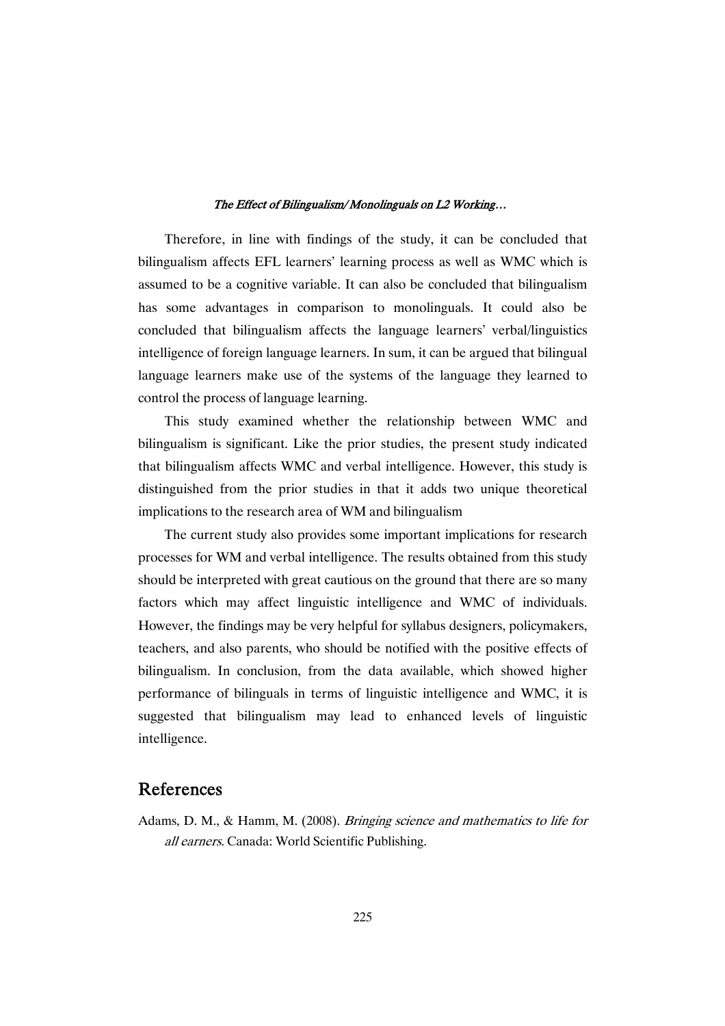Therefore, in line with findings of the study, it can be concluded that bilingualism affects EFL learners' learning process as well as WMC which is assumed to be a cognitive variable. It can also be concluded that bilingualism has some advantages in comparison to monolinguals. It could also be concluded that bilingualism affects the language learners' verbal/linguistics intelligence of foreign language learners. In sum, it can be argued that bilingual language learners make use of the systems of the language they learned to control the process of language learning.

This study examined whether the relationship between WMC and bilingualism is significant. Like the prior studies, the present study indicated that bilingualism affects WMC and verbal intelligence. However, this study is distinguished from the prior studies in that it adds two unique theoretical implications to the research area of WM and bilingualism

The current study also provides some important implications for research processes for WM and verbal intelligence. The results obtained from this study should be interpreted with great cautious on the ground that there are so many factors which may affect linguistic intelligence and WMC of individuals. However, the findings may be very helpful for syllabus designers, policymakers, teachers, and also parents, who should be notified with the positive effects of bilingualism. In conclusion, from the data available, which showed higher performance of bilinguals in terms of linguistic intelligence and WMC, it is suggested that bilingualism may lead to enhanced levels of linguistic intelligence.

## References

Adams, D. M., & Hamm, M. (2008). *Bringing science and mathematics to life for* all earners. Canada: World Scientific Publishing.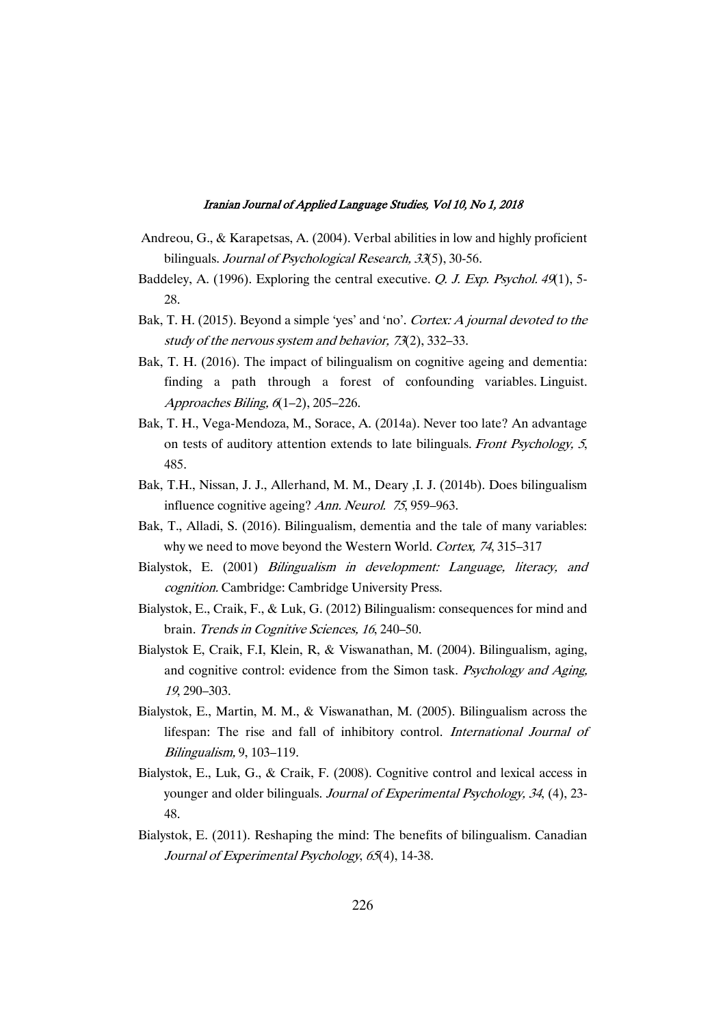- Andreou, G., & Karapetsas, A. (2004). Verbal abilities in low and highly proficient bilinguals. Journal of Psychological Research, 33(5), 30-56.
- Baddeley, A. (1996). Exploring the central executive. Q. J. Exp. Psychol. 49(1), 5-28.
- Bak, T. H. (2015). Beyond a simple 'yes' and 'no'. Cortex: A journal devoted to the study of the nervous system and behavior, <sup>73</sup>(2), 332–33.
- Bak, T. H. (2016). The impact of bilingualism on cognitive ageing and dementia: finding a path through a forest of confounding variables. Linguist. Approaches Biling, <sup>6</sup>(1–2), 205–226.
- Bak, T. H., Vega-Mendoza, M., Sorace, A. (2014a). Never too late? An advantage on tests of auditory attention extends to late bilinguals. Front Psychology, <sup>5</sup>, 485.
- Bak, T.H., Nissan, J. J., Allerhand, M. M., Deary ,I. J. (2014b). Does bilingualism influence cognitive ageing? Ann. Neurol. <sup>75</sup>, 959–963.
- Bak, T., Alladi, S. (2016). Bilingualism, dementia and the tale of many variables: why we need to move beyond the Western World. Cortex, <sup>74</sup>, 315–317
- Bialystok, E. (2001) Bilingualism in development: Language, literacy, and cognition. Cambridge: Cambridge University Press.
- Bialystok, E., Craik, F., & Luk, G. (2012) Bilingualism: consequences for mind and brain. Trends in Cognitive Sciences, <sup>16</sup>, 240–50.
- Bialystok E, Craik, F.I, Klein, R, & Viswanathan, M. (2004). Bilingualism, aging, and cognitive control: evidence from the Simon task. Psychology and Aging, <sup>19</sup>, 290–303.
- Bialystok, E., Martin, M. M., & Viswanathan, M. (2005). Bilingualism across the lifespan: The rise and fall of inhibitory control. International Journal of Bilingualism, 9, 103–119.
- Bialystok, E., Luk, G., & Craik, F. (2008). Cognitive control and lexical access in younger and older bilinguals. Journal of Experimental Psychology, <sup>34</sup>, (4), 23- 48.
- Bialystok, E. (2011). Reshaping the mind: The benefits of bilingualism. Canadian Journal of Experimental Psychology, <sup>65</sup>(4), 14-38.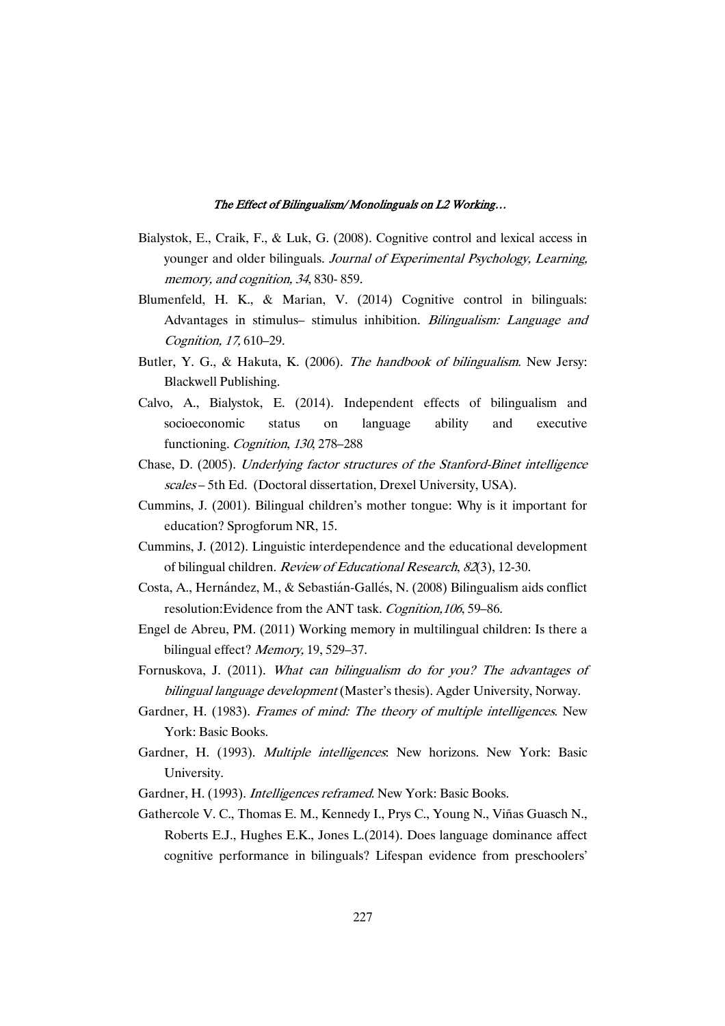- Bialystok, E., Craik, F., & Luk, G. (2008). Cognitive control and lexical access in younger and older bilinguals. Journal of Experimental Psychology, Learning, memory, and cognition, <sup>34</sup>, 830- 859.
- Blumenfeld, H. K., & Marian, V. (2014) Cognitive control in bilinguals: Advantages in stimulus– stimulus inhibition. Bilingualism: Language and Cognition, 17, 610–29.
- Butler, Y. G., & Hakuta, K. (2006). The handbook of bilingualism. New Jersy: Blackwell Publishing.
- Calvo, A., Bialystok, E. (2014). Independent effects of bilingualism and socioeconomic status on language ability and executive functioning. Cognition, <sup>130</sup>, 278–288
- Chase, D. (2005). Underlying factor structures of the Stanford-Binet intelligence scales – 5th Ed. (Doctoral dissertation, Drexel University, USA).
- Cummins, J. (2001). Bilingual children's mother tongue: Why is it important for education? Sprogforum NR, 15.
- Cummins, J. (2012). Linguistic interdependence and the educational development of bilingual children. Review of Educational Research, <sup>82</sup>(3), 12-30.
- Costa, A., Hernández, M., & Sebastián-Gallés, N. (2008) Bilingualism aids conflict resolution:Evidence from the ANT task. Cognition,106, 59–86.
- Engel de Abreu, PM. (2011) Working memory in multilingual children: Is there a bilingual effect? Memory, 19, 529–37.
- Fornuskova, J. (2011). What can bilingualism do for you? The advantages of bilingual language development (Master's thesis). Agder University, Norway.
- Gardner, H. (1983). Frames of mind: The theory of multiple intelligences. New York: Basic Books.
- Gardner, H. (1993). Multiple intelligences: New horizons. New York: Basic University.
- Gardner, H. (1993). Intelligences reframed. New York: Basic Books.
- Gathercole V. C., Thomas E. M., Kennedy I., Prys C., Young N., Viñas Guasch N., Roberts E.J., Hughes E.K., Jones L.(2014). Does language dominance affect cognitive performance in bilinguals? Lifespan evidence from preschoolers'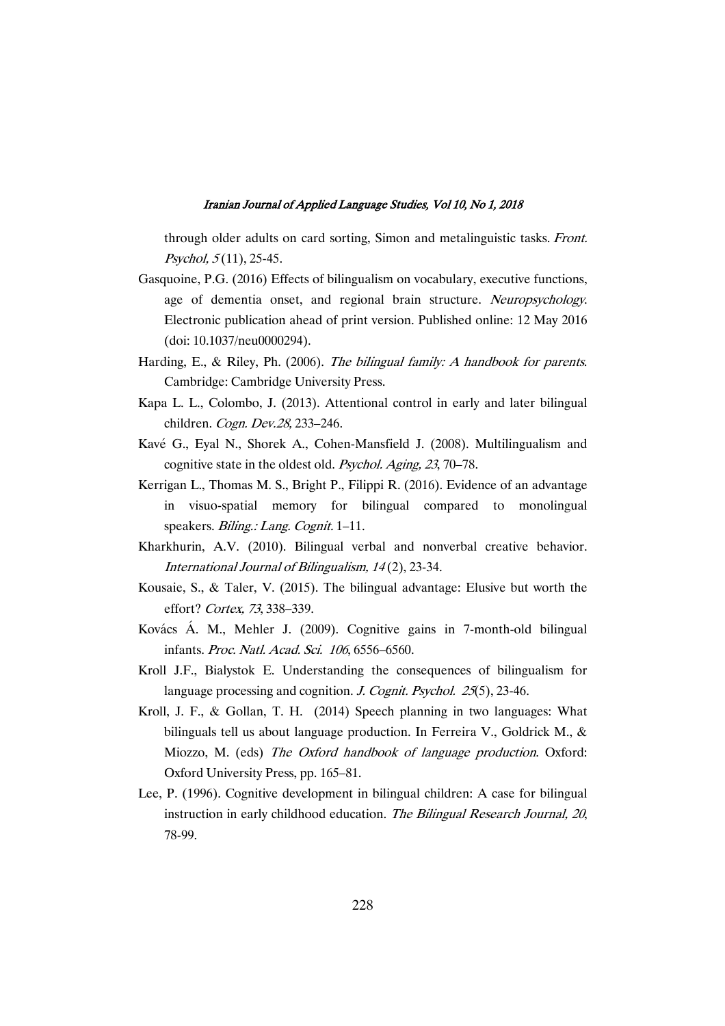through older adults on card sorting, Simon and metalinguistic tasks. Front. Psychol,  $5(11)$ , 25-45.

- Gasquoine, P.G. (2016) Effects of bilingualism on vocabulary, executive functions, age of dementia onset, and regional brain structure. Neuropsychology. Electronic publication ahead of print version. Published online: 12 May 2016 (doi: 10.1037/neu0000294).
- Harding, E., & Riley, Ph. (2006). The bilingual family: A handbook for parents. Cambridge: Cambridge University Press.
- Kapa L. L., Colombo, J. (2013). Attentional control in early and later bilingual children. Cogn. Dev.28, 233-246.
- Kavé G., Eyal N., Shorek A., Cohen-Mansfield J. (2008). Multilingualism and cognitive state in the oldest old. Psychol. Aging, <sup>23</sup>, 70–78.
- Kerrigan L., Thomas M. S., Bright P., Filippi R. (2016). Evidence of an advantage in visuo-spatial memory for bilingual compared to monolingual speakers. Biling.: Lang. Cognit. 1-11.
- Kharkhurin, A.V. (2010). Bilingual verbal and nonverbal creative behavior. International Journal of Bilingualism, <sup>14</sup> (2), 23-34.
- Kousaie, S., & Taler, V. (2015). The bilingual advantage: Elusive but worth the effort? Cortex, <sup>73</sup>, 338–339.
- Kovács Á. M., Mehler J. (2009). Cognitive gains in 7-month-old bilingual infants. Proc. Natl. Acad. Sci. <sup>106</sup>, 6556–6560.
- Kroll J.F., Bialystok E. Understanding the consequences of bilingualism for language processing and cognition. J. Cognit. Psychol. 25(5), 23-46.
- Kroll, J. F., & Gollan, T. H. (2014) Speech planning in two languages: What bilinguals tell us about language production. In Ferreira V., Goldrick M., & Miozzo, M. (eds) The Oxford handbook of language production. Oxford: Oxford University Press, pp. 165–81.
- Lee, P. (1996). Cognitive development in bilingual children: A case for bilingual instruction in early childhood education. The Bilingual Research Journal, 20, 78-99.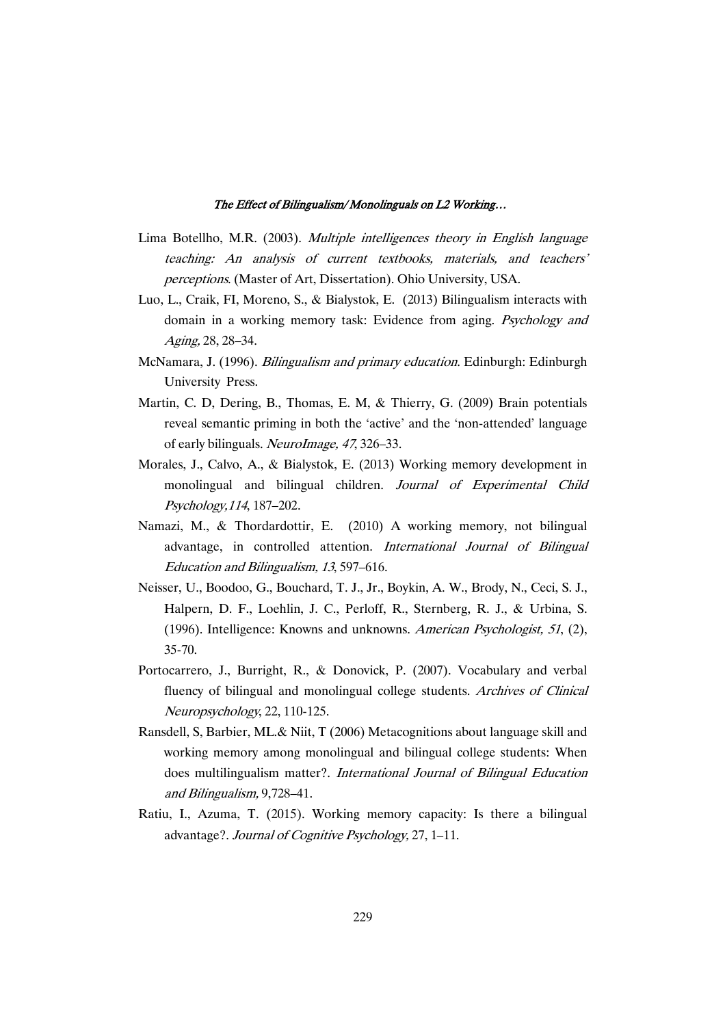- Lima Botellho, M.R. (2003). Multiple intelligences theory in English language teaching: An analysis of current textbooks, materials, and teachers' perceptions. (Master of Art, Dissertation). Ohio University, USA.
- Luo, L., Craik, FI, Moreno, S., & Bialystok, E. (2013) Bilingualism interacts with domain in a working memory task: Evidence from aging. Psychology and Aging, 28, 28–34.
- McNamara, J. (1996). Bilingualism and primary education. Edinburgh: Edinburgh University Press.
- Martin, C. D, Dering, B., Thomas, E. M, & Thierry, G. (2009) Brain potentials reveal semantic priming in both the 'active' and the 'non-attended' language of early bilinguals. NeuroImage, <sup>47</sup>, 326–33.
- Morales, J., Calvo, A., & Bialystok, E. (2013) Working memory development in monolingual and bilingual children. Journal of Experimental Child Psychology,114, 187–202.
- Namazi, M., & Thordardottir, E. (2010) A working memory, not bilingual advantage, in controlled attention. International Journal of Bilingual Education and Bilingualism, <sup>13</sup>, 597–616.
- Neisser, U., Boodoo, G., Bouchard, T. J., Jr., Boykin, A. W., Brody, N., Ceci, S. J., Halpern, D. F., Loehlin, J. C., Perloff, R., Sternberg, R. J., & Urbina, S. (1996). Intelligence: Knowns and unknowns. American Psychologist, <sup>51</sup>, (2), 35-70.
- Portocarrero, J., Burright, R., & Donovick, P. (2007). Vocabulary and verbal fluency of bilingual and monolingual college students. Archives of Clinical Neuropsychology, 22, 110-125.
- Ransdell, S, Barbier, ML.& Niit, T (2006) Metacognitions about language skill and working memory among monolingual and bilingual college students: When does multilingualism matter?. International Journal of Bilingual Education and Bilingualism, 9,728–41.
- Ratiu, I., Azuma, T. (2015). Working memory capacity: Is there a bilingual advantage?. Journal of Cognitive Psychology, 27, 1–11.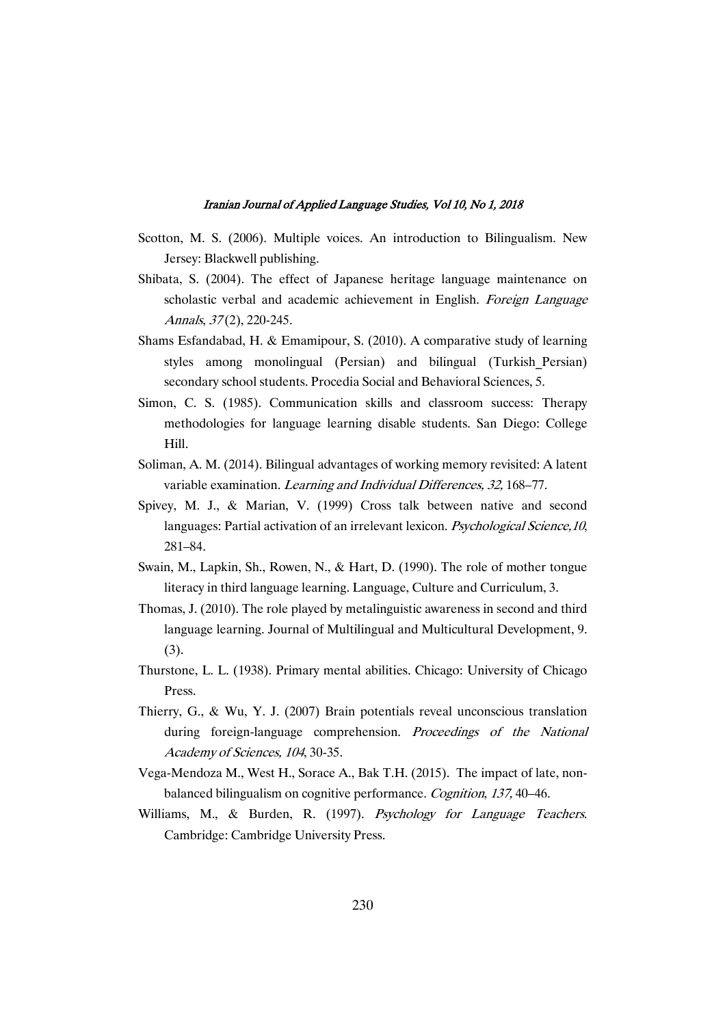- Scotton, M. S. (2006). Multiple voices. An introduction to Bilingualism. New Jersey: Blackwell publishing.
- Shibata, S. (2004). The effect of Japanese heritage language maintenance on scholastic verbal and academic achievement in English. Foreign Language Annals, 37(2), 220-245.
- Shams Esfandabad, H. & Emamipour, S. (2010). A comparative study of learning styles among monolingual (Persian) and bilingual (Turkish\_Persian) secondary school students. Procedia Social and Behavioral Sciences, 5.
- Simon, C. S. (1985). Communication skills and classroom success: Therapy methodologies for language learning disable students. San Diego: College Hill.
- Soliman, A. M. (2014). Bilingual advantages of working memory revisited: A latent variable examination. Learning and Individual Differences, 32, 168–77.
- Spivey, M. J., & Marian, V. (1999) Cross talk between native and second languages: Partial activation of an irrelevant lexicon. Psychological Science, 10, 281–84.
- Swain, M., Lapkin, Sh., Rowen, N., & Hart, D. (1990). The role of mother tongue literacy in third language learning. Language, Culture and Curriculum, 3.
- Thomas, J. (2010). The role played by metalinguistic awareness in second and third language learning. Journal of Multilingual and Multicultural Development, 9. (3).
- Thurstone, L. L. (1938). Primary mental abilities. Chicago: University of Chicago Press.
- Thierry, G., & Wu, Y. J. (2007) Brain potentials reveal unconscious translation during foreign-language comprehension. Proceedings of the National Academy of Sciences, <sup>104</sup>, 30-35.
- Vega-Mendoza M., West H., Sorace A., Bak T.H. (2015). The impact of late, nonbalanced bilingualism on cognitive performance. Cognition, 137, 40–46.
- Williams, M., & Burden, R. (1997). Psychology for Language Teachers. Cambridge: Cambridge University Press.